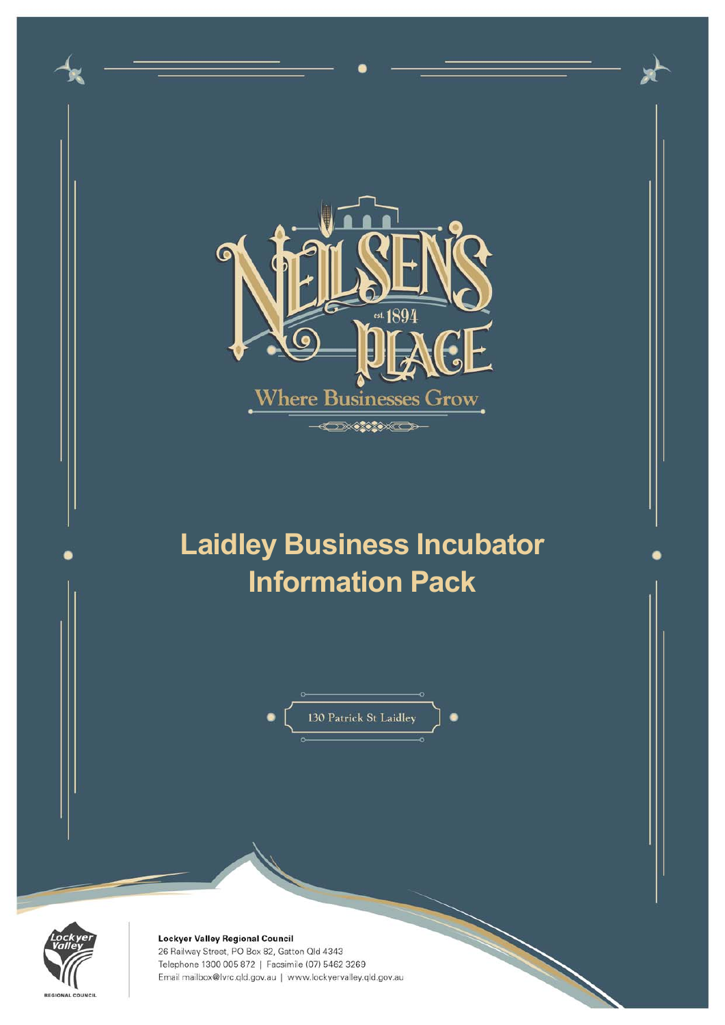



Lockyer Valley Regional Council 26 Railway Street, PO Box 82, Gatton Qld 4343 Telephone 1300 005 872 | Facsimile (07) 5462 3269 Email mailbox@lvrc.qld.gov.au | www.lockyervalley.qld.gov.au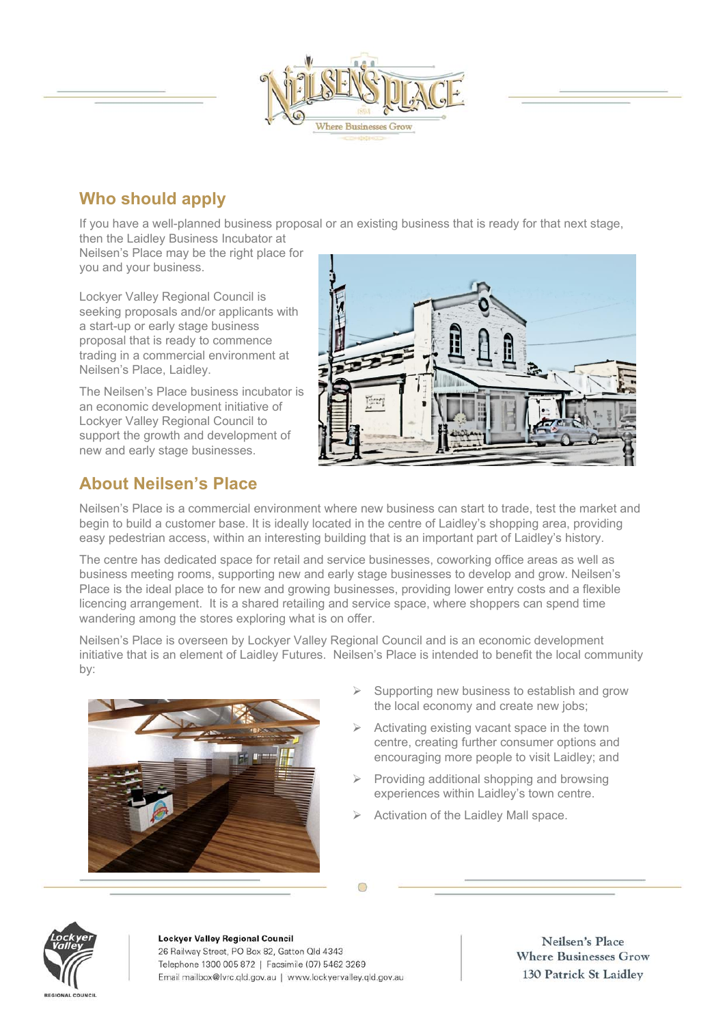

# **Who should apply**

If you have a well-planned business proposal or an existing business that is ready for that next stage,

then the Laidley Business Incubator at Neilsen's Place may be the right place for you and your business.

Lockyer Valley Regional Council is seeking proposals and/or applicants with a start-up or early stage business proposal that is ready to commence trading in a commercial environment at Neilsen's Place, Laidley.

The Neilsen's Place business incubator is an economic development initiative of Lockyer Valley Regional Council to support the growth and development of new and early stage businesses.



## **About Neilsen's Place**

Neilsen's Place is a commercial environment where new business can start to trade, test the market and begin to build a customer base. It is ideally located in the centre of Laidley's shopping area, providing easy pedestrian access, within an interesting building that is an important part of Laidley's history.

The centre has dedicated space for retail and service businesses, coworking office areas as well as business meeting rooms, supporting new and early stage businesses to develop and grow. Neilsen's Place is the ideal place to for new and growing businesses, providing lower entry costs and a flexible licencing arrangement. It is a shared retailing and service space, where shoppers can spend time wandering among the stores exploring what is on offer.

Neilsen's Place is overseen by Lockyer Valley Regional Council and is an economic development initiative that is an element of Laidley Futures. Neilsen's Place is intended to benefit the local community by:



- Supporting new business to establish and grow the local economy and create new jobs;
- Activating existing vacant space in the town centre, creating further consumer options and encouraging more people to visit Laidley; and
- $\triangleright$  Providing additional shopping and browsing experiences within Laidley's town centre.
- $\triangleright$  Activation of the Laidley Mall space.



#### Lockyer Valley Regional Council 26 Railway Street, PO Box 82, Gatton Old 4343 Telephone 1300 005 872 | Facsimile (07) 5462 3269 Email mailbox@lvrc.qld.gov.au | www.lockyervalley.qld.gov.au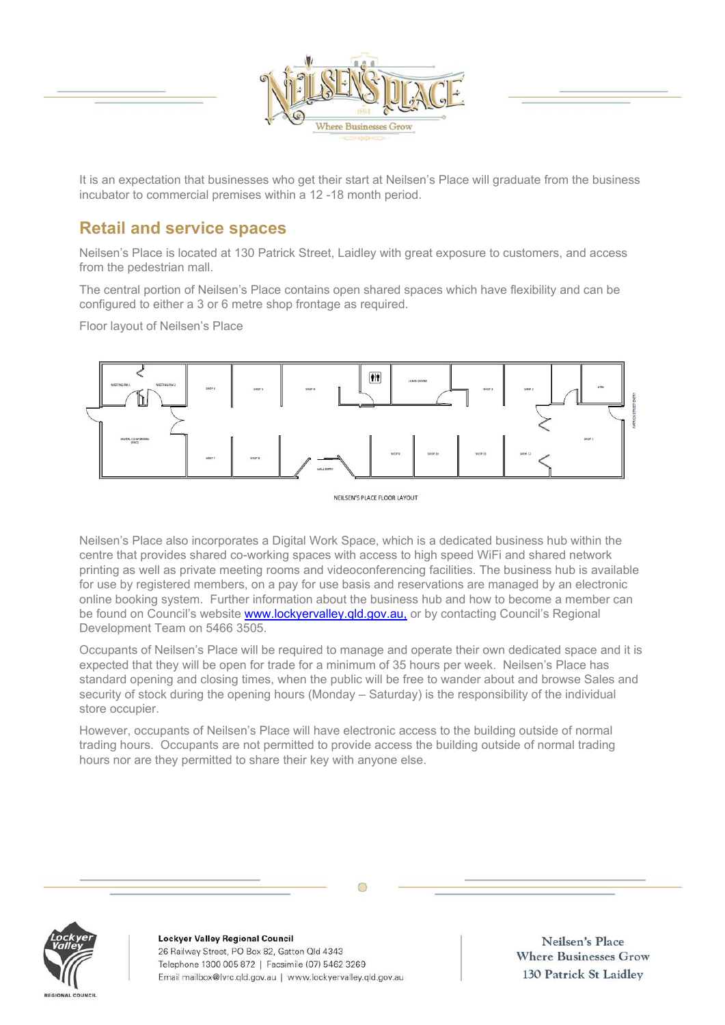

It is an expectation that businesses who get their start at Neilsen's Place will graduate from the business incubator to commercial premises within a 12 -18 month period.

## **Retail and service spaces**

Neilsen's Place is located at 130 Patrick Street, Laidley with great exposure to customers, and access from the pedestrian mall.

The central portion of Neilsen's Place contains open shared spaces which have flexibility and can be configured to either a 3 or 6 metre shop frontage as required.

Floor layout of Neilsen's Place



NEILSEN'S PLACE FLOOR LAYOUT

Neilsen's Place also incorporates a Digital Work Space, which is a dedicated business hub within the centre that provides shared co-working spaces with access to high speed WiFi and shared network printing as well as private meeting rooms and videoconferencing facilities. The business hub is available for use by registered members, on a pay for use basis and reservations are managed by an electronic online booking system. Further information about the business hub and how to become a member can be found on Council's website www.lockyervalley.qld.gov.au, or by contacting Council's Regional Development Team on 5466 3505.

Occupants of Neilsen's Place will be required to manage and operate their own dedicated space and it is expected that they will be open for trade for a minimum of 35 hours per week. Neilsen's Place has standard opening and closing times, when the public will be free to wander about and browse Sales and security of stock during the opening hours (Monday – Saturday) is the responsibility of the individual store occupier.

However, occupants of Neilsen's Place will have electronic access to the building outside of normal trading hours. Occupants are not permitted to provide access the building outside of normal trading hours nor are they permitted to share their key with anyone else.



**Lockyer Valley Regional Council** 26 Railway Street, PO Box 82, Gatton Qld 4343 Telephone 1300 005 872 | Facsimile (07) 5462 3269 Email mailbox@lvrc.qld.gov.au | www.lockyervalley.qld.gov.au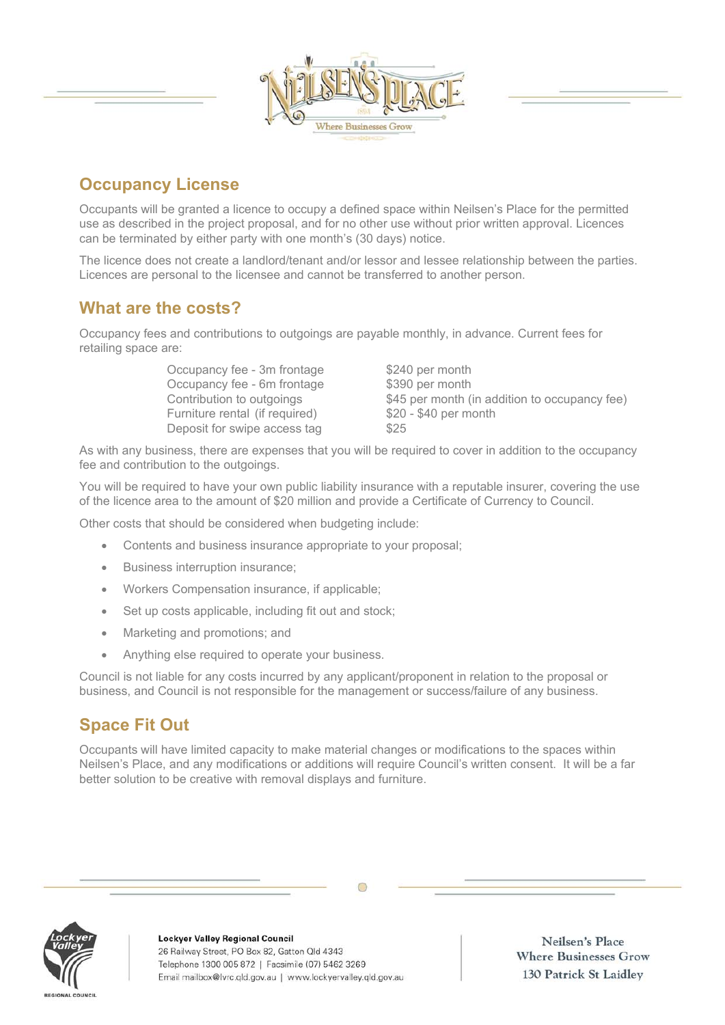

# **Occupancy License**

Occupants will be granted a licence to occupy a defined space within Neilsen's Place for the permitted use as described in the project proposal, and for no other use without prior written approval. Licences can be terminated by either party with one month's (30 days) notice.

The licence does not create a landlord/tenant and/or lessor and lessee relationship between the parties. Licences are personal to the licensee and cannot be transferred to another person.

### **What are the costs?**

Occupancy fees and contributions to outgoings are payable monthly, in advance. Current fees for retailing space are:

> Occupancy fee - 3m frontage \$240 per month Occupancy fee - 6m frontage \$390 per month Furniture rental (if required) \$20 - \$40 per month Deposit for swipe access tag  $$25$

Contribution to outgoings \$45 per month (in addition to occupancy fee)

As with any business, there are expenses that you will be required to cover in addition to the occupancy fee and contribution to the outgoings.

You will be required to have your own public liability insurance with a reputable insurer, covering the use of the licence area to the amount of \$20 million and provide a Certificate of Currency to Council.

Other costs that should be considered when budgeting include:

- Contents and business insurance appropriate to your proposal;
- Business interruption insurance;
- Workers Compensation insurance, if applicable;
- Set up costs applicable, including fit out and stock;
- Marketing and promotions; and
- Anything else required to operate your business.

Council is not liable for any costs incurred by any applicant/proponent in relation to the proposal or business, and Council is not responsible for the management or success/failure of any business.

## **Space Fit Out**

Occupants will have limited capacity to make material changes or modifications to the spaces within Neilsen's Place, and any modifications or additions will require Council's written consent. It will be a far better solution to be creative with removal displays and furniture.